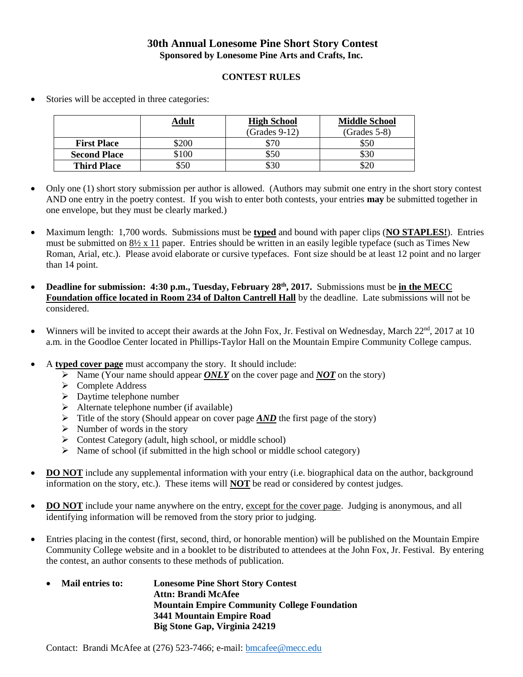## **30th Annual Lonesome Pine Short Story Contest Sponsored by Lonesome Pine Arts and Crafts, Inc.**

## **CONTEST RULES**

- **Adult High School** (Grades 9-12) **Middle School** (Grades 5-8) **First Place**  $\begin{array}{|l|l|} \hline \text{$500} & \text{$500} \end{array}$ **Second Place**  $\begin{array}{|c|c|c|c|} \hline \text{$50} & \text{$50} & \text{$50} \end{array}$ **Third Place**  $\begin{array}{|c|c|c|c|} \hline \text{50} & \text{50} & \text{530} & \text{520} \\ \hline \end{array}$
- Stories will be accepted in three categories:

- Only one (1) short story submission per author is allowed. (Authors may submit one entry in the short story contest AND one entry in the poetry contest. If you wish to enter both contests, your entries **may** be submitted together in one envelope, but they must be clearly marked.)
- Maximum length: 1,700 words. Submissions must be **typed** and bound with paper clips (**NO STAPLES!**). Entries must be submitted on 8½ x 11 paper. Entries should be written in an easily legible typeface (such as Times New Roman, Arial, etc.). Please avoid elaborate or cursive typefaces. Font size should be at least 12 point and no larger than 14 point.
- **0** Deadline for submission: 4:30 p.m., Tuesday, February 28<sup>th</sup>, 2017. Submissions must be in the MECC **Foundation office located in Room 234 of Dalton Cantrell Hall** by the deadline. Late submissions will not be considered.
- Winners will be invited to accept their awards at the John Fox, Jr. Festival on Wednesday, March  $22<sup>nd</sup>$ ,  $2017$  at 10 a.m. in the Goodloe Center located in Phillips-Taylor Hall on the Mountain Empire Community College campus.
- A **typed cover page** must accompany the story. It should include:
	- Name (Your name should appear *ONLY* on the cover page and *NOT* on the story)
	- **►** Complete Address
	- $\triangleright$  Daytime telephone number
	- $\triangleright$  Alternate telephone number (if available)
	- $\triangleright$  Title of the story (Should appear on cover page  $\angle AND$  the first page of the story)
	- $\triangleright$  Number of words in the story
	- $\triangleright$  Contest Category (adult, high school, or middle school)
	- $\triangleright$  Name of school (if submitted in the high school or middle school category)
- **DO NOT** include any supplemental information with your entry (i.e. biographical data on the author, background information on the story, etc.). These items will **NOT** be read or considered by contest judges.
- **DO NOT** include your name anywhere on the entry, except for the cover page. Judging is anonymous, and all identifying information will be removed from the story prior to judging.
- Entries placing in the contest (first, second, third, or honorable mention) will be published on the Mountain Empire Community College website and in a booklet to be distributed to attendees at the John Fox, Jr. Festival. By entering the contest, an author consents to these methods of publication.
	- **Mail entries to: Lonesome Pine Short Story Contest Attn: Brandi McAfee Mountain Empire Community College Foundation 3441 Mountain Empire Road Big Stone Gap, Virginia 24219**

Contact: Brandi McAfee at (276) 523-7466; e-mail: [bmcafee@mecc.edu](mailto:bmcafee@mecc.edu)